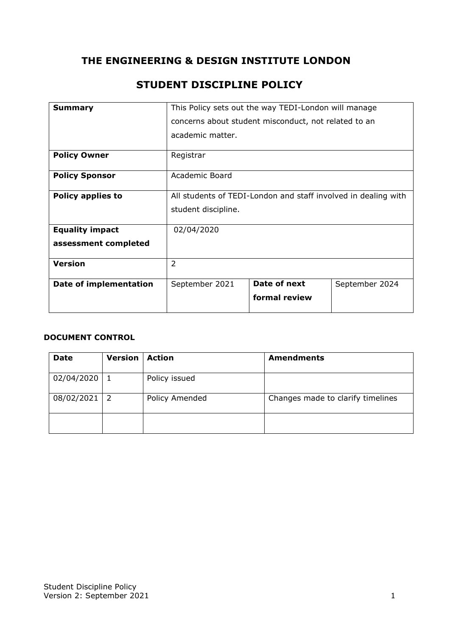# **THE ENGINEERING & DESIGN INSTITUTE LONDON**

| <b>Summary</b>           | This Policy sets out the way TEDI-London will manage           |               |                |
|--------------------------|----------------------------------------------------------------|---------------|----------------|
|                          | concerns about student misconduct, not related to an           |               |                |
|                          | academic matter.                                               |               |                |
| <b>Policy Owner</b>      | Registrar                                                      |               |                |
| <b>Policy Sponsor</b>    | Academic Board                                                 |               |                |
| <b>Policy applies to</b> | All students of TEDI-London and staff involved in dealing with |               |                |
|                          | student discipline.                                            |               |                |
| <b>Equality impact</b>   | 02/04/2020                                                     |               |                |
| assessment completed     |                                                                |               |                |
| <b>Version</b>           | 2                                                              |               |                |
| Date of implementation   | September 2021                                                 | Date of next  | September 2024 |
|                          |                                                                | formal review |                |

# **STUDENT DISCIPLINE POLICY**

#### **DOCUMENT CONTROL**

| <b>Date</b> | <b>Version</b> | <b>Action</b>  | <b>Amendments</b>                 |
|-------------|----------------|----------------|-----------------------------------|
| 02/04/2020  |                | Policy issued  |                                   |
| 08/02/2021  | -2             | Policy Amended | Changes made to clarify timelines |
|             |                |                |                                   |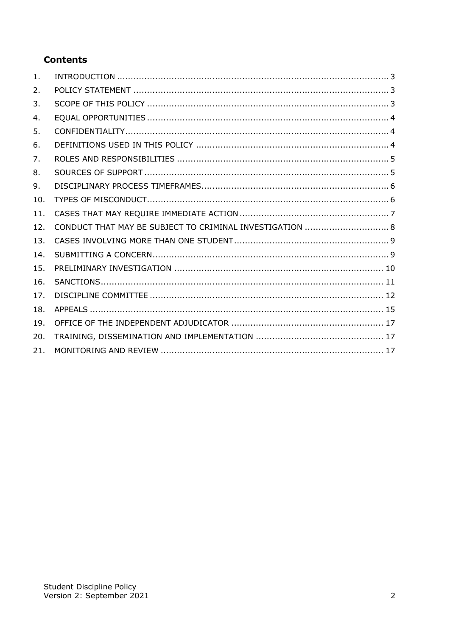# **Contents**

| 1.  |                                                          |
|-----|----------------------------------------------------------|
| 2.  |                                                          |
| 3.  |                                                          |
| 4.  |                                                          |
| 5.  |                                                          |
| 6.  |                                                          |
| 7.  |                                                          |
| 8.  |                                                          |
| 9.  |                                                          |
| 10. |                                                          |
| 11. |                                                          |
| 12. | CONDUCT THAT MAY BE SUBJECT TO CRIMINAL INVESTIGATION  8 |
| 13. |                                                          |
| 14. |                                                          |
| 15. |                                                          |
| 16. |                                                          |
| 17. |                                                          |
| 18. |                                                          |
| 19. |                                                          |
| 20. |                                                          |
| 21. |                                                          |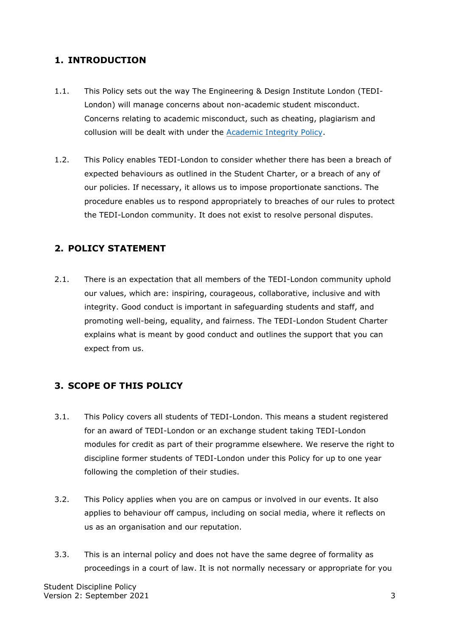### <span id="page-2-0"></span>**1. INTRODUCTION**

- 1.1. This Policy sets out the way The Engineering & Design Institute London (TEDI-London) will manage concerns about non-academic student misconduct. Concerns relating to academic misconduct, such as cheating, plagiarism and collusion will be dealt with under the [Academic Integrity Policy.](https://tedi-london.ac.uk/policies/)
- 1.2. This Policy enables TEDI-London to consider whether there has been a breach of expected behaviours as outlined in the Student Charter, or a breach of any of our policies. If necessary, it allows us to impose proportionate sanctions. The procedure enables us to respond appropriately to breaches of our rules to protect the TEDI-London community. It does not exist to resolve personal disputes.

### <span id="page-2-1"></span>**2. POLICY STATEMENT**

2.1. There is an expectation that all members of the TEDI-London community uphold our values, which are: inspiring, courageous, collaborative, inclusive and with integrity. Good conduct is important in safeguarding students and staff, and promoting well-being, equality, and fairness. The TEDI-London Student Charter explains what is meant by good conduct and outlines the support that you can expect from us.

### <span id="page-2-2"></span>**3. SCOPE OF THIS POLICY**

- 3.1. This Policy covers all students of TEDI-London. This means a student registered for an award of TEDI-London or an exchange student taking TEDI-London modules for credit as part of their programme elsewhere. We reserve the right to discipline former students of TEDI-London under this Policy for up to one year following the completion of their studies.
- 3.2. This Policy applies when you are on campus or involved in our events. It also applies to behaviour off campus, including on social media, where it reflects on us as an organisation and our reputation.
- 3.3. This is an internal policy and does not have the same degree of formality as proceedings in a court of law. It is not normally necessary or appropriate for you

Student Discipline Policy Version 2: September 2021 3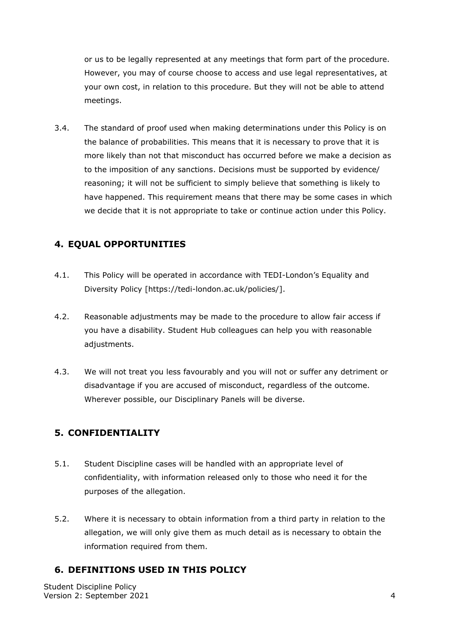or us to be legally represented at any meetings that form part of the procedure. However, you may of course choose to access and use legal representatives, at your own cost, in relation to this procedure. But they will not be able to attend meetings.

3.4. The standard of proof used when making determinations under this Policy is on the balance of probabilities. This means that it is necessary to prove that it is more likely than not that misconduct has occurred before we make a decision as to the imposition of any sanctions. Decisions must be supported by evidence/ reasoning; it will not be sufficient to simply believe that something is likely to have happened. This requirement means that there may be some cases in which we decide that it is not appropriate to take or continue action under this Policy.

### <span id="page-3-0"></span>**4. EQUAL OPPORTUNITIES**

- 4.1. This Policy will be operated in accordance with TEDI-London's Equality and Diversity Policy [https://tedi-london.ac.uk/policies/].
- 4.2. Reasonable adjustments may be made to the procedure to allow fair access if you have a disability. Student Hub colleagues can help you with reasonable adjustments.
- 4.3. We will not treat you less favourably and you will not or suffer any detriment or disadvantage if you are accused of misconduct, regardless of the outcome. Wherever possible, our Disciplinary Panels will be diverse.

### <span id="page-3-1"></span>**5. CONFIDENTIALITY**

- 5.1. Student Discipline cases will be handled with an appropriate level of confidentiality, with information released only to those who need it for the purposes of the allegation.
- 5.2. Where it is necessary to obtain information from a third party in relation to the allegation, we will only give them as much detail as is necessary to obtain the information required from them.

### <span id="page-3-2"></span>**6. DEFINITIONS USED IN THIS POLICY**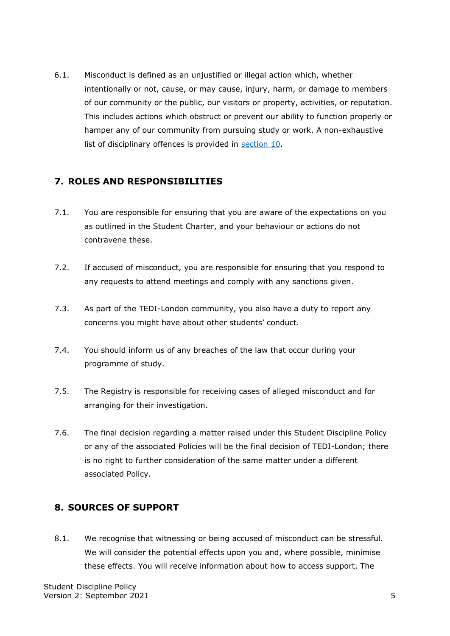6.1. Misconduct is defined as an unjustified or illegal action which, whether intentionally or not, cause, or may cause, injury, harm, or damage to members of our community or the public, our visitors or property, activities, or reputation. This includes actions which obstruct or prevent our ability to function properly or hamper any of our community from pursuing study or work. A non-exhaustive list of disciplinary offences is provided in section 10.

### <span id="page-4-0"></span>**7. ROLES AND RESPONSIBILITIES**

- 7.1. You are responsible for ensuring that you are aware of the expectations on you as outlined in the Student Charter, and your behaviour or actions do not contravene these.
- 7.2. If accused of misconduct, you are responsible for ensuring that you respond to any requests to attend meetings and comply with any sanctions given.
- 7.3. As part of the TEDI-London community, you also have a duty to report any concerns you might have about other students' conduct.
- 7.4. You should inform us of any breaches of the law that occur during your programme of study.
- 7.5. The Registry is responsible for receiving cases of alleged misconduct and for arranging for their investigation.
- 7.6. The final decision regarding a matter raised under this Student Discipline Policy or any of the associated Policies will be the final decision of TEDI-London; there is no right to further consideration of the same matter under a different associated Policy.

### <span id="page-4-1"></span>**8. SOURCES OF SUPPORT**

8.1. We recognise that witnessing or being accused of misconduct can be stressful. We will consider the potential effects upon you and, where possible, minimise these effects. You will receive information about how to access support. The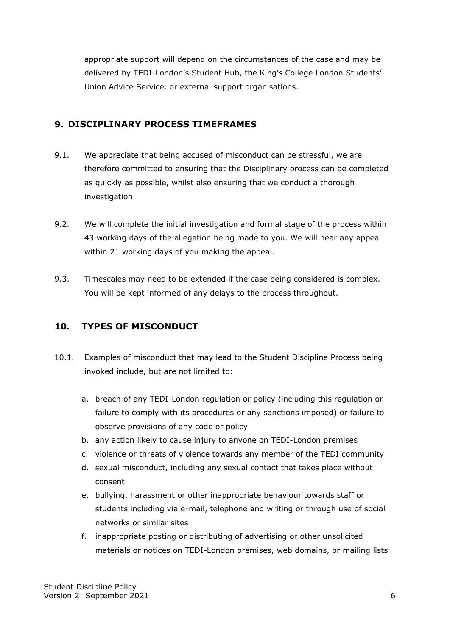appropriate support will depend on the circumstances of the case and may be delivered by TEDI-London's Student Hub, the King's College London Students' Union Advice Service, or external support organisations.

### <span id="page-5-0"></span>**9. DISCIPLINARY PROCESS TIMEFRAMES**

- 9.1. We appreciate that being accused of misconduct can be stressful, we are therefore committed to ensuring that the Disciplinary process can be completed as quickly as possible, whilst also ensuring that we conduct a thorough investigation.
- 9.2. We will complete the initial investigation and formal stage of the process within 43 working days of the allegation being made to you. We will hear any appeal within 21 working days of you making the appeal.
- 9.3. Timescales may need to be extended if the case being considered is complex. You will be kept informed of any delays to the process throughout.

### <span id="page-5-1"></span>**10. TYPES OF MISCONDUCT**

- 10.1. Examples of misconduct that may lead to the Student Discipline Process being invoked include, but are not limited to:
	- a. breach of any TEDI-London regulation or policy (including this regulation or failure to comply with its procedures or any sanctions imposed) or failure to observe provisions of any code or policy
	- b. any action likely to cause injury to anyone on TEDI-London premises
	- c. violence or threats of violence towards any member of the TEDI community
	- d. sexual misconduct, including any sexual contact that takes place without consent
	- e. bullying, harassment or other inappropriate behaviour towards staff or students including via e-mail, telephone and writing or through use of social networks or similar sites
	- f. inappropriate posting or distributing of advertising or other unsolicited materials or notices on TEDI-London premises, web domains, or mailing lists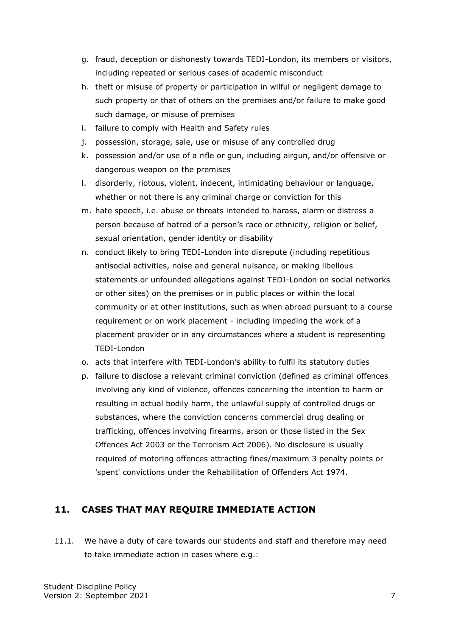- g. fraud, deception or dishonesty towards TEDI-London, its members or visitors, including repeated or serious cases of academic misconduct
- h. theft or misuse of property or participation in wilful or negligent damage to such property or that of others on the premises and/or failure to make good such damage, or misuse of premises
- i. failure to comply with Health and Safety rules
- j. possession, storage, sale, use or misuse of any controlled drug
- k. possession and/or use of a rifle or gun, including airgun, and/or offensive or dangerous weapon on the premises
- l. disorderly, riotous, violent, indecent, intimidating behaviour or language, whether or not there is any criminal charge or conviction for this
- m. hate speech, i.e. abuse or threats intended to harass, alarm or distress a person because of hatred of a person's race or ethnicity, religion or belief, sexual orientation, gender identity or disability
- n. conduct likely to bring TEDI-London into disrepute (including repetitious antisocial activities, noise and general nuisance, or making libellous statements or unfounded allegations against TEDI-London on social networks or other sites) on the premises or in public places or within the local community or at other institutions, such as when abroad pursuant to a course requirement or on work placement - including impeding the work of a placement provider or in any circumstances where a student is representing TEDI-London
- o. acts that interfere with TEDI-London's ability to fulfil its statutory duties
- p. failure to disclose a relevant criminal conviction (defined as criminal offences involving any kind of violence, offences concerning the intention to harm or resulting in actual bodily harm, the unlawful supply of controlled drugs or substances, where the conviction concerns commercial drug dealing or trafficking, offences involving firearms, arson or those listed in the Sex Offences Act 2003 or the Terrorism Act 2006). No disclosure is usually required of motoring offences attracting fines/maximum 3 penalty points or 'spent' convictions under the Rehabilitation of Offenders Act 1974.

### <span id="page-6-0"></span>**11. CASES THAT MAY REQUIRE IMMEDIATE ACTION**

11.1. We have a duty of care towards our students and staff and therefore may need to take immediate action in cases where e.g.: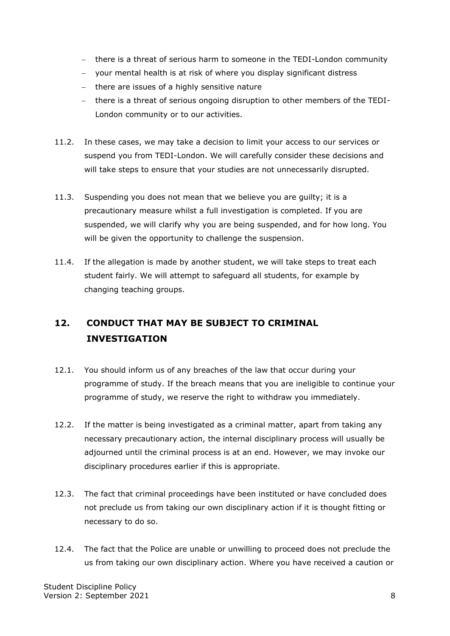- − there is a threat of serious harm to someone in the TEDI-London community
- − your mental health is at risk of where you display significant distress
- − there are issues of a highly sensitive nature
- − there is a threat of serious ongoing disruption to other members of the TEDI-London community or to our activities.
- 11.2. In these cases, we may take a decision to limit your access to our services or suspend you from TEDI-London. We will carefully consider these decisions and will take steps to ensure that your studies are not unnecessarily disrupted.
- 11.3. Suspending you does not mean that we believe you are guilty; it is a precautionary measure whilst a full investigation is completed. If you are suspended, we will clarify why you are being suspended, and for how long. You will be given the opportunity to challenge the suspension.
- 11.4. If the allegation is made by another student, we will take steps to treat each student fairly. We will attempt to safeguard all students, for example by changing teaching groups.

# <span id="page-7-0"></span>**12. CONDUCT THAT MAY BE SUBJECT TO CRIMINAL INVESTIGATION**

- 12.1. You should inform us of any breaches of the law that occur during your programme of study. If the breach means that you are ineligible to continue your programme of study, we reserve the right to withdraw you immediately.
- 12.2. If the matter is being investigated as a criminal matter, apart from taking any necessary precautionary action, the internal disciplinary process will usually be adjourned until the criminal process is at an end. However, we may invoke our disciplinary procedures earlier if this is appropriate.
- 12.3. The fact that criminal proceedings have been instituted or have concluded does not preclude us from taking our own disciplinary action if it is thought fitting or necessary to do so.
- 12.4. The fact that the Police are unable or unwilling to proceed does not preclude the us from taking our own disciplinary action. Where you have received a caution or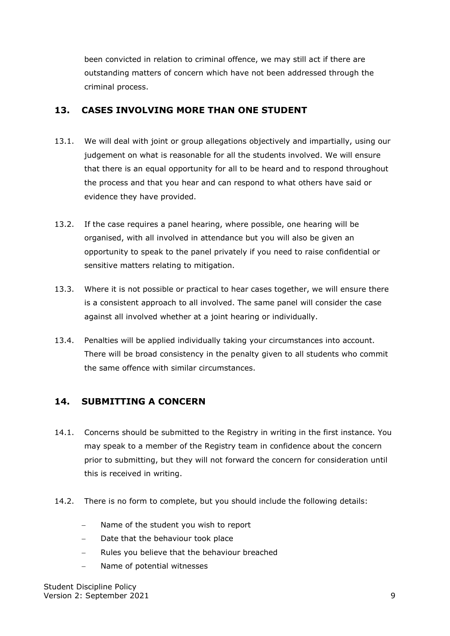been convicted in relation to criminal offence, we may still act if there are outstanding matters of concern which have not been addressed through the criminal process.

### <span id="page-8-0"></span>**13. CASES INVOLVING MORE THAN ONE STUDENT**

- 13.1. We will deal with joint or group allegations objectively and impartially, using our judgement on what is reasonable for all the students involved. We will ensure that there is an equal opportunity for all to be heard and to respond throughout the process and that you hear and can respond to what others have said or evidence they have provided.
- 13.2. If the case requires a panel hearing, where possible, one hearing will be organised, with all involved in attendance but you will also be given an opportunity to speak to the panel privately if you need to raise confidential or sensitive matters relating to mitigation.
- 13.3. Where it is not possible or practical to hear cases together, we will ensure there is a consistent approach to all involved. The same panel will consider the case against all involved whether at a joint hearing or individually.
- 13.4. Penalties will be applied individually taking your circumstances into account. There will be broad consistency in the penalty given to all students who commit the same offence with similar circumstances.

### <span id="page-8-1"></span>**14. SUBMITTING A CONCERN**

- 14.1. Concerns should be submitted to the Registry in writing in the first instance. You may speak to a member of the Registry team in confidence about the concern prior to submitting, but they will not forward the concern for consideration until this is received in writing.
- 14.2. There is no form to complete, but you should include the following details:
	- Name of the student you wish to report
	- Date that the behaviour took place
	- Rules you believe that the behaviour breached
	- Name of potential witnesses

Student Discipline Policy Version 2: September 2021 9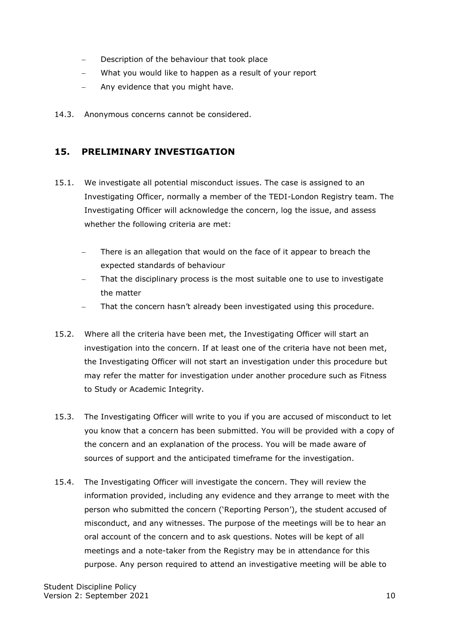- Description of the behaviour that took place
- − What you would like to happen as a result of your report
- − Any evidence that you might have.
- 14.3. Anonymous concerns cannot be considered.

### <span id="page-9-0"></span>**15. PRELIMINARY INVESTIGATION**

- 15.1. We investigate all potential misconduct issues. The case is assigned to an Investigating Officer, normally a member of the TEDI-London Registry team. The Investigating Officer will acknowledge the concern, log the issue, and assess whether the following criteria are met:
	- There is an allegation that would on the face of it appear to breach the expected standards of behaviour
	- That the disciplinary process is the most suitable one to use to investigate the matter
	- That the concern hasn't already been investigated using this procedure.
- 15.2. Where all the criteria have been met, the Investigating Officer will start an investigation into the concern. If at least one of the criteria have not been met, the Investigating Officer will not start an investigation under this procedure but may refer the matter for investigation under another procedure such as Fitness to Study or Academic Integrity.
- 15.3. The Investigating Officer will write to you if you are accused of misconduct to let you know that a concern has been submitted. You will be provided with a copy of the concern and an explanation of the process. You will be made aware of sources of support and the anticipated timeframe for the investigation.
- 15.4. The Investigating Officer will investigate the concern. They will review the information provided, including any evidence and they arrange to meet with the person who submitted the concern ('Reporting Person'), the student accused of misconduct, and any witnesses. The purpose of the meetings will be to hear an oral account of the concern and to ask questions. Notes will be kept of all meetings and a note-taker from the Registry may be in attendance for this purpose. Any person required to attend an investigative meeting will be able to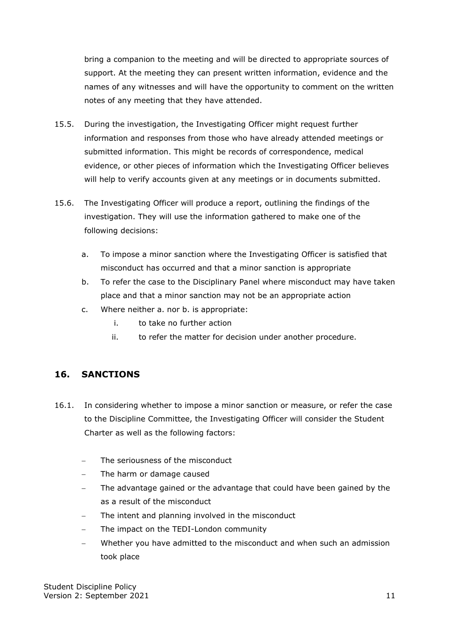bring a companion to the meeting and will be directed to appropriate sources of support. At the meeting they can present written information, evidence and the names of any witnesses and will have the opportunity to comment on the written notes of any meeting that they have attended.

- 15.5. During the investigation, the Investigating Officer might request further information and responses from those who have already attended meetings or submitted information. This might be records of correspondence, medical evidence, or other pieces of information which the Investigating Officer believes will help to verify accounts given at any meetings or in documents submitted.
- 15.6. The Investigating Officer will produce a report, outlining the findings of the investigation. They will use the information gathered to make one of the following decisions:
	- a. To impose a minor sanction where the Investigating Officer is satisfied that misconduct has occurred and that a minor sanction is appropriate
	- b. To refer the case to the Disciplinary Panel where misconduct may have taken place and that a minor sanction may not be an appropriate action
	- c. Where neither a. nor b. is appropriate:
		- i. to take no further action
		- ii. to refer the matter for decision under another procedure.

### <span id="page-10-0"></span>**16. SANCTIONS**

- 16.1. In considering whether to impose a minor sanction or measure, or refer the case to the Discipline Committee, the Investigating Officer will consider the Student Charter as well as the following factors:
	- The seriousness of the misconduct
	- The harm or damage caused
	- The advantage gained or the advantage that could have been gained by the as a result of the misconduct
	- The intent and planning involved in the misconduct
	- The impact on the TEDI-London community
	- Whether you have admitted to the misconduct and when such an admission took place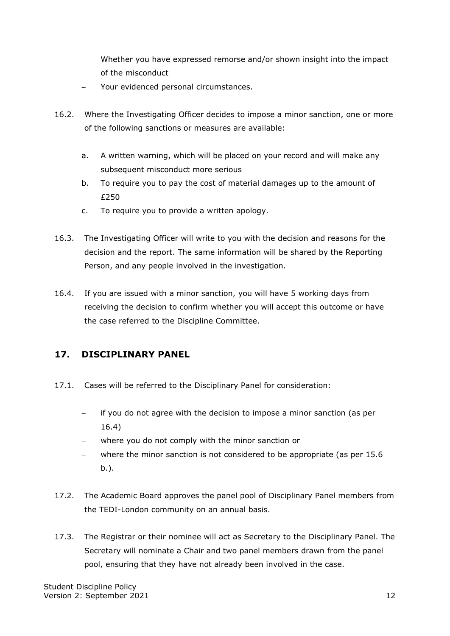- Whether you have expressed remorse and/or shown insight into the impact of the misconduct
- Your evidenced personal circumstances.
- 16.2. Where the Investigating Officer decides to impose a minor sanction, one or more of the following sanctions or measures are available:
	- a. A written warning, which will be placed on your record and will make any subsequent misconduct more serious
	- b. To require you to pay the cost of material damages up to the amount of £250
	- c. To require you to provide a written apology.
- 16.3. The Investigating Officer will write to you with the decision and reasons for the decision and the report. The same information will be shared by the Reporting Person, and any people involved in the investigation.
- 16.4. If you are issued with a minor sanction, you will have 5 working days from receiving the decision to confirm whether you will accept this outcome or have the case referred to the Discipline Committee.

### <span id="page-11-0"></span>**17. DISCIPLINARY PANEL**

- 17.1. Cases will be referred to the Disciplinary Panel for consideration:
	- − if you do not agree with the decision to impose a minor sanction (as per 16.4)
	- − where you do not comply with the minor sanction or
	- − where the minor sanction is not considered to be appropriate (as per 15.6 b.).
- 17.2. The Academic Board approves the panel pool of Disciplinary Panel members from the TEDI-London community on an annual basis.
- 17.3. The Registrar or their nominee will act as Secretary to the Disciplinary Panel. The Secretary will nominate a Chair and two panel members drawn from the panel pool, ensuring that they have not already been involved in the case.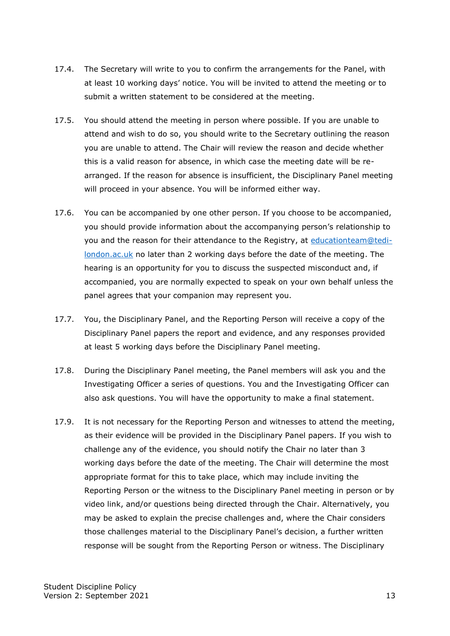- 17.4. The Secretary will write to you to confirm the arrangements for the Panel, with at least 10 working days' notice. You will be invited to attend the meeting or to submit a written statement to be considered at the meeting.
- 17.5. You should attend the meeting in person where possible. If you are unable to attend and wish to do so, you should write to the Secretary outlining the reason you are unable to attend. The Chair will review the reason and decide whether this is a valid reason for absence, in which case the meeting date will be rearranged. If the reason for absence is insufficient, the Disciplinary Panel meeting will proceed in your absence. You will be informed either way.
- 17.6. You can be accompanied by one other person. If you choose to be accompanied, you should provide information about the accompanying person's relationship to you and the reason for their attendance to the Registry, at [educationteam@tedi](mailto:educationteam@tedi-london.ac.uk)[london.ac.uk](mailto:educationteam@tedi-london.ac.uk) no later than 2 working days before the date of the meeting. The hearing is an opportunity for you to discuss the suspected misconduct and, if accompanied, you are normally expected to speak on your own behalf unless the panel agrees that your companion may represent you.
- 17.7. You, the Disciplinary Panel, and the Reporting Person will receive a copy of the Disciplinary Panel papers the report and evidence, and any responses provided at least 5 working days before the Disciplinary Panel meeting.
- 17.8. During the Disciplinary Panel meeting, the Panel members will ask you and the Investigating Officer a series of questions. You and the Investigating Officer can also ask questions. You will have the opportunity to make a final statement.
- 17.9. It is not necessary for the Reporting Person and witnesses to attend the meeting, as their evidence will be provided in the Disciplinary Panel papers. If you wish to challenge any of the evidence, you should notify the Chair no later than 3 working days before the date of the meeting. The Chair will determine the most appropriate format for this to take place, which may include inviting the Reporting Person or the witness to the Disciplinary Panel meeting in person or by video link, and/or questions being directed through the Chair. Alternatively, you may be asked to explain the precise challenges and, where the Chair considers those challenges material to the Disciplinary Panel's decision, a further written response will be sought from the Reporting Person or witness. The Disciplinary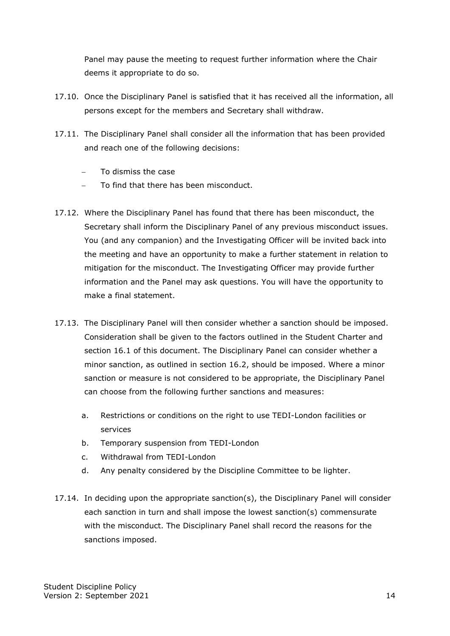Panel may pause the meeting to request further information where the Chair deems it appropriate to do so.

- 17.10. Once the Disciplinary Panel is satisfied that it has received all the information, all persons except for the members and Secretary shall withdraw.
- 17.11. The Disciplinary Panel shall consider all the information that has been provided and reach one of the following decisions:
	- − To dismiss the case
	- − To find that there has been misconduct.
- 17.12. Where the Disciplinary Panel has found that there has been misconduct, the Secretary shall inform the Disciplinary Panel of any previous misconduct issues. You (and any companion) and the Investigating Officer will be invited back into the meeting and have an opportunity to make a further statement in relation to mitigation for the misconduct. The Investigating Officer may provide further information and the Panel may ask questions. You will have the opportunity to make a final statement.
- 17.13. The Disciplinary Panel will then consider whether a sanction should be imposed. Consideration shall be given to the factors outlined in the Student Charter and section 16.1 of this document. The Disciplinary Panel can consider whether a minor sanction, as outlined in section 16.2, should be imposed. Where a minor sanction or measure is not considered to be appropriate, the Disciplinary Panel can choose from the following further sanctions and measures:
	- a. Restrictions or conditions on the right to use TEDI-London facilities or services
	- b. Temporary suspension from TEDI-London
	- c. Withdrawal from TEDI-London
	- d. Any penalty considered by the Discipline Committee to be lighter.
- 17.14. In deciding upon the appropriate sanction(s), the Disciplinary Panel will consider each sanction in turn and shall impose the lowest sanction(s) commensurate with the misconduct. The Disciplinary Panel shall record the reasons for the sanctions imposed.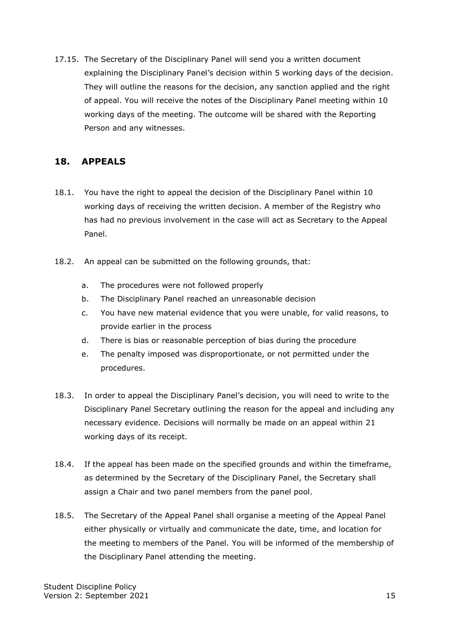17.15. The Secretary of the Disciplinary Panel will send you a written document explaining the Disciplinary Panel's decision within 5 working days of the decision. They will outline the reasons for the decision, any sanction applied and the right of appeal. You will receive the notes of the Disciplinary Panel meeting within 10 working days of the meeting. The outcome will be shared with the Reporting Person and any witnesses.

#### <span id="page-14-0"></span>**18. APPEALS**

- 18.1. You have the right to appeal the decision of the Disciplinary Panel within 10 working days of receiving the written decision. A member of the Registry who has had no previous involvement in the case will act as Secretary to the Appeal Panel.
- 18.2. An appeal can be submitted on the following grounds, that:
	- a. The procedures were not followed properly
	- b. The Disciplinary Panel reached an unreasonable decision
	- c. You have new material evidence that you were unable, for valid reasons, to provide earlier in the process
	- d. There is bias or reasonable perception of bias during the procedure
	- e. The penalty imposed was disproportionate, or not permitted under the procedures.
- 18.3. In order to appeal the Disciplinary Panel's decision, you will need to write to the Disciplinary Panel Secretary outlining the reason for the appeal and including any necessary evidence. Decisions will normally be made on an appeal within 21 working days of its receipt.
- 18.4. If the appeal has been made on the specified grounds and within the timeframe, as determined by the Secretary of the Disciplinary Panel, the Secretary shall assign a Chair and two panel members from the panel pool.
- 18.5. The Secretary of the Appeal Panel shall organise a meeting of the Appeal Panel either physically or virtually and communicate the date, time, and location for the meeting to members of the Panel. You will be informed of the membership of the Disciplinary Panel attending the meeting.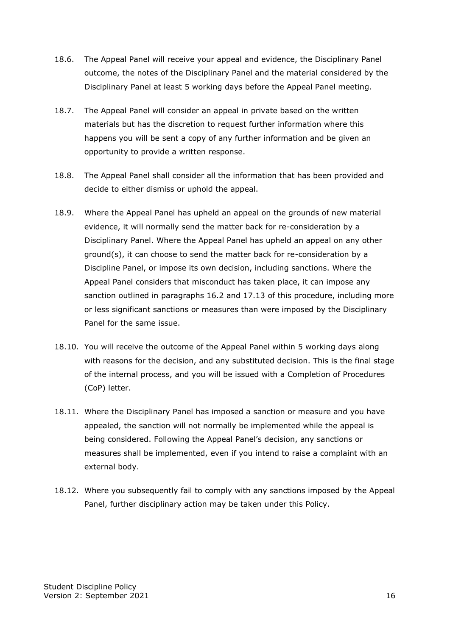- 18.6. The Appeal Panel will receive your appeal and evidence, the Disciplinary Panel outcome, the notes of the Disciplinary Panel and the material considered by the Disciplinary Panel at least 5 working days before the Appeal Panel meeting.
- 18.7. The Appeal Panel will consider an appeal in private based on the written materials but has the discretion to request further information where this happens you will be sent a copy of any further information and be given an opportunity to provide a written response.
- 18.8. The Appeal Panel shall consider all the information that has been provided and decide to either dismiss or uphold the appeal.
- 18.9. Where the Appeal Panel has upheld an appeal on the grounds of new material evidence, it will normally send the matter back for re-consideration by a Disciplinary Panel. Where the Appeal Panel has upheld an appeal on any other ground(s), it can choose to send the matter back for re-consideration by a Discipline Panel, or impose its own decision, including sanctions. Where the Appeal Panel considers that misconduct has taken place, it can impose any sanction outlined in paragraphs 16.2 and 17.13 of this procedure, including more or less significant sanctions or measures than were imposed by the Disciplinary Panel for the same issue.
- 18.10. You will receive the outcome of the Appeal Panel within 5 working days along with reasons for the decision, and any substituted decision. This is the final stage of the internal process, and you will be issued with a Completion of Procedures (CoP) letter.
- 18.11. Where the Disciplinary Panel has imposed a sanction or measure and you have appealed, the sanction will not normally be implemented while the appeal is being considered. Following the Appeal Panel's decision, any sanctions or measures shall be implemented, even if you intend to raise a complaint with an external body.
- 18.12. Where you subsequently fail to comply with any sanctions imposed by the Appeal Panel, further disciplinary action may be taken under this Policy.